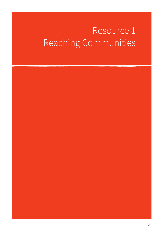# Resource 1 Reaching Communities

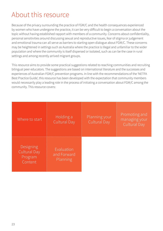# About this resource

Because of the privacy surrounding the practice of FGM/C and the health consequences experienced by women who have undergone the practice, it can be very difficult to begin a conversation about the topic without having established rapport with members of a community. Concerns about confidentiality, personal sensitivities around discussing sexual and reproductive issues, fear of stigma or judgement and emotional trauma can all serve as barriers to starting open dialogue about FGM/C. These concerns may be heightened in settings such as Australia where the practice is illegal and unfamiliar to the wider population and where the community is itself dispersed or isolated, such as can be the case in rural settings and among recently arrived migrant groups.

This resource aims to provide some practical suggestions related to reaching communities and recruiting bilingual peer educators. The suggestions are based on international literature and the successes and experiences of Australian FGM/C prevention programs. In line with the recommendations of the 'NETFA Best Practice Guide', this resource has been developed with the expectation that community members would necessarily play a leading role in the process of initiating a conversation about FGM/C among the community. This resource covers:

| Where to start                                  | Holding a<br>Cultural Day             | Planning your<br>Cultural Day | Promoting and<br>managing your<br>Cultural Day |
|-------------------------------------------------|---------------------------------------|-------------------------------|------------------------------------------------|
| Designing<br>Cultural Day<br>Program<br>Content | Evaluation<br>and Forward<br>Planning |                               |                                                |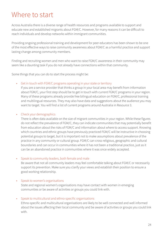### Where to start

Across Australia there is a diverse range of health resources and programs available to support and educate new and established migrants about FGM/C. However, for many reasons it can be difficult to reach individuals and develop networks within immigrant communities.

Providing ongoing professional training and development for peer educators has been shown to be one of the most effective ways to raise community awareness about FGM/C as a harmful practice and support lasting change among community members.

Finding and recruiting women and men who want to raise FGM/C awareness in their community may seem like a daunting task if you do not already have connections within that community.

Some things that you can do to start the process might be:

#### • Get in touch with FGM/C programs operating in your state or territory

If you are a service provider that thinks a group in your local area may benefit from information about FGM/C, your first step should be to get in touch with current FGM/C programs in your region. Many of these programs already provide free bilingual education on FGM/C, professional training and multilingual resources. They may also have data and suggestions about the audience you may want to target. You will find a list of current programs around Australia in Resource 3.

#### • Check your demographics

There is often data available on the size of migrant communities in your region. While these figures do not reflect the prevalence of FGM/C, they can indicate communities that may potentially benefit from education about the risks of FGM/C and information about where to access support. Knowing which countries and ethnic groups have previously practiced FGM/C will be instructive in choosing potential groups to target, but it is important not to make assumptions about prevalence of the practice in any community or cultural group. FGM/C can cross religious, geographic and cultural boundaries and can occur in communities where it has not been a traditional practice, just as it can be an abandoned practice in communities where it was once widely accepted.

#### • Speak to community leaders, both female and male

Be aware that not all community leaders may feel comfortable talking about FGM/C or necessarily support its prevention. Make sure you clarify your views and establish their position to ensure a good working relationship.

#### • Speak to women's organisations

State and regional women's organisations may have contact with women in emerging communities or be aware of activities or groups you could link with.

#### • Speak to multicultural and ethno-specific organisations

Ethno-specific and multicultural organisations are likely to be well connected and well informed about the issues affecting their local community and be aware of activities or groups you could link with.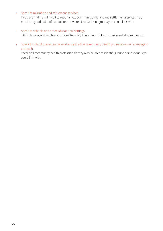#### • Speak to migration and settlement services

If you are finding it difficult to reach a new community, migrant and settlement services may provide a good point of contact or be aware of activities or groups you could link with.

#### • Speak to schools and other educational settings

TAFEs, language schools and universities might be able to link you to relevant student groups.

• Speak to school nurses, social workers and other community health professionals who engage in outreach.

Local and community health professionals may also be able to identify groups or individuals you could link with.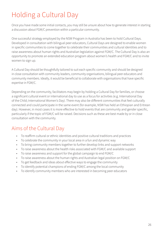# Holding a Cultural Day

Once you have made some initial contacts, you may still be unsure about how to generate interest in starting a discussion about FGM/C prevention within a particular community.

One successful strategy employed by the NSW Program in Australia has been to hold Cultural Days. Developed in consultation with bilingual peer educators, Cultural Days are designed to enable women in specific communities to come together to celebrate their communities and cultural identities and to raise awareness about human rights and Australian legislation against FGM/C. The Cultural Day is also an opportunity to promote an extended education program about women's health and FGM/C and to invite women to sign up.

A Cultural Day should be thoughtfully tailored to suit each specific community and should be designed in close consultation with community leaders, community organisations, bilingual peer educators and community members. Ideally, it would be beneficial to collaborate with organisations that have specific expertise in FGM/C.

Depending on the community, facilitators may begin by holding a Cultural Day for families, or choose a significant cultural event or international day to use as a focus for activities (e.g. International Day of the Child; International Women's Day). There may also be different communities that feel culturally connected and could participate in the same event (for example, NSW has held an Ethiopian and Eritrean day). However, in most cases it is more effective to hold events that are community and gender specific, particularly if the topic of FGM/C will be raised. Decisions such as these are best made by or in close consultation with the community.

### Aims of the Cultural Day

- To reaffirm cultural or ethnic identities and positive cultural traditions and practices
- To celebrate the community in your local area in a fun and dynamic way
- To bring community members together to further develop links and support networks
- To raise awareness about the health risks associated with FGM/C and available support
- To raise awareness and support for the global campaign to end FGM/C
- To raise awareness about the human rights and Australian legal position on FGM/C
- To get feedback and ideas about effective ways to engage the community
- To identify potential champions of ending FGM/C among the local community
- To identify community members who are interested in becoming peer educators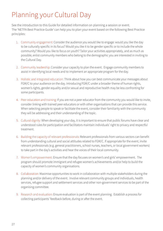# Planning your Cultural Day

See the introduction to this Guide for detailed information on planning a session or event. The 'NETFA Best Practice Guide' can help you to plan your event based on the following Best Practice principles:

- 1. Community engagement: Consider the audience you would like to engage: would you like the day to be culturally specific in its focus? Would you like it to be gender specific or to include the whole community? Would you like to focus on youth? Tailor your activities appropriately, and as much as possible, enlist community members who belong to the demographic you are interested in inviting to the Cultural Day.
- 2. Community leadership: Consider your capacity to plan the event. Engage community members to assist in identifying local needs and to implement an appropriate program for the day.
- 3. Holistic and integrated education: Think about how you can best communicate your messages about FGM/C to your audience on the day. Introducing FGM/C under a broader theme of human rights, women's rights, gender equality and/or sexual and reproductive health may be less confronting for some participants.
- 4. Peer education and training: If you are not a peer educator from the community you would like to invite, consider linking with trained peer educators or with other organisations that can provide this service. When selecting people to speak or facilitate the event, consider their familiarity with the community they will be addressing and their understanding of the topic.
- 5. Cultural dignity: When developing your day, it is important to ensure that public forums have clear and understood rules for participation and facilitators maintain individuals' right to privacy and respectful treatment.
- 6. Building the capacity of relevant professionals: Relevant professionals from various sectors can benefit from understanding cultural and social attitudes related to FGM/C. If appropriate for the event, invite relevant professionals (e.g. general practitioners, school nurses, teachers, or local government workers) to take part in the day's activities and hear the voices of their local community.
- 7. Women's empowerment: Ensure that the day focuses on women's and girls' empowerment. The program should promote immigrant and refugee women's achievements and/or help to build the capacity of women's community organisations.
- 8. Collaboration: Maximise opportunities to work in collaboration with multiple stakeholders during the planning and/or delivery of the event. Involve relevant community groups and individuals, health services, refugee support and settlement services and other non-government services to be part of the organising committee.
- 9. Research and evaluation: Ensure evaluation is part of the event planning. Establish a process for collecting participants' feedback before, during or after the event.